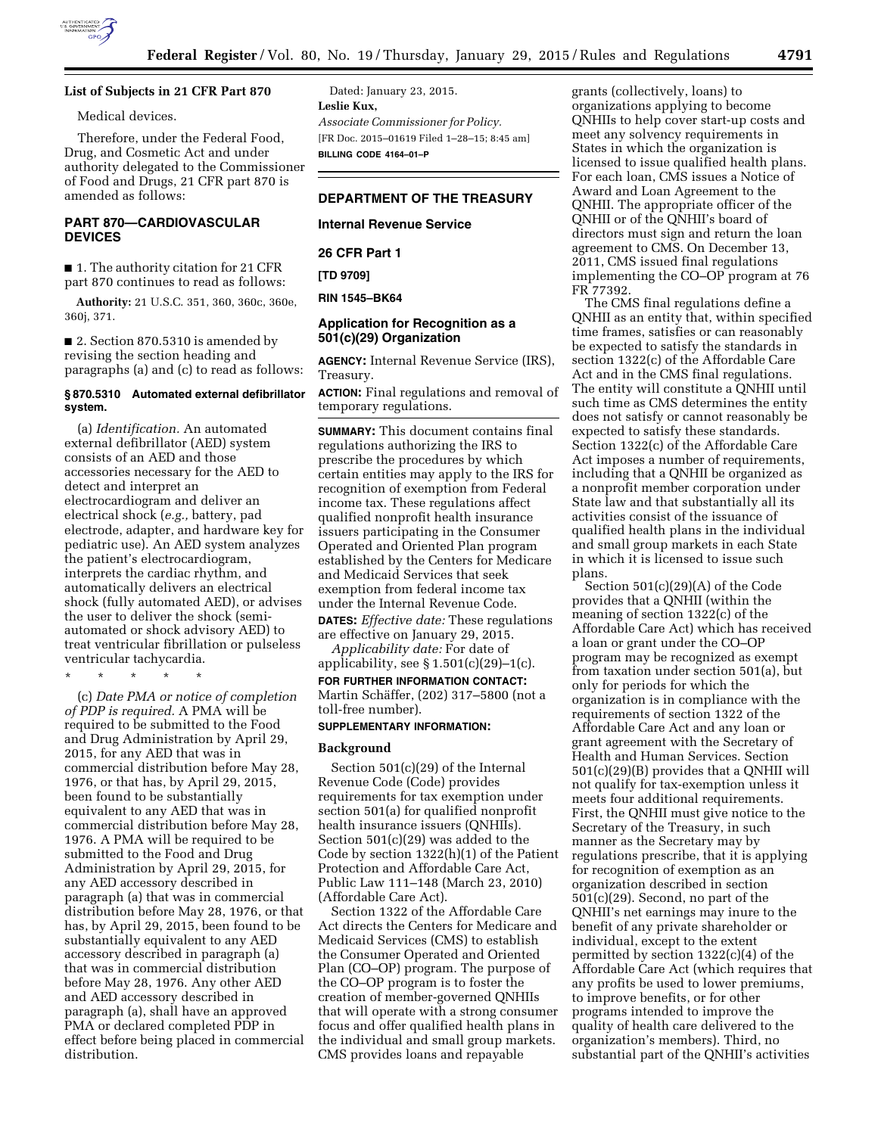

## **List of Subjects in 21 CFR Part 870**

Medical devices.

Therefore, under the Federal Food, Drug, and Cosmetic Act and under authority delegated to the Commissioner of Food and Drugs, 21 CFR part 870 is amended as follows:

# **PART 870—CARDIOVASCULAR DEVICES**

■ 1. The authority citation for 21 CFR part 870 continues to read as follows:

**Authority:** 21 U.S.C. 351, 360, 360c, 360e, 360j, 371.

■ 2. Section 870.5310 is amended by revising the section heading and paragraphs (a) and (c) to read as follows:

## **§ 870.5310 Automated external defibrillator system.**

(a) *Identification.* An automated external defibrillator (AED) system consists of an AED and those accessories necessary for the AED to detect and interpret an electrocardiogram and deliver an electrical shock (*e.g.,* battery, pad electrode, adapter, and hardware key for pediatric use). An AED system analyzes the patient's electrocardiogram, interprets the cardiac rhythm, and automatically delivers an electrical shock (fully automated AED), or advises the user to deliver the shock (semiautomated or shock advisory AED) to treat ventricular fibrillation or pulseless ventricular tachycardia.

\* \* \* \* \*

(c) *Date PMA or notice of completion of PDP is required.* A PMA will be required to be submitted to the Food and Drug Administration by April 29, 2015, for any AED that was in commercial distribution before May 28, 1976, or that has, by April 29, 2015, been found to be substantially equivalent to any AED that was in commercial distribution before May 28, 1976. A PMA will be required to be submitted to the Food and Drug Administration by April 29, 2015, for any AED accessory described in paragraph (a) that was in commercial distribution before May 28, 1976, or that has, by April 29, 2015, been found to be substantially equivalent to any AED accessory described in paragraph (a) that was in commercial distribution before May 28, 1976. Any other AED and AED accessory described in paragraph (a), shall have an approved PMA or declared completed PDP in effect before being placed in commercial distribution.

Dated: January 23, 2015. **Leslie Kux,**  *Associate Commissioner for Policy.*  [FR Doc. 2015–01619 Filed 1–28–15; 8:45 am] **BILLING CODE 4164–01–P** 

# **DEPARTMENT OF THE TREASURY**

# **Internal Revenue Service**

**26 CFR Part 1** 

**[TD 9709]** 

## **RIN 1545–BK64**

## **Application for Recognition as a 501(c)(29) Organization**

**AGENCY:** Internal Revenue Service (IRS), Treasury.

**ACTION:** Final regulations and removal of temporary regulations.

**SUMMARY:** This document contains final regulations authorizing the IRS to prescribe the procedures by which certain entities may apply to the IRS for recognition of exemption from Federal income tax. These regulations affect qualified nonprofit health insurance issuers participating in the Consumer Operated and Oriented Plan program established by the Centers for Medicare and Medicaid Services that seek exemption from federal income tax under the Internal Revenue Code.

**DATES:** *Effective date:* These regulations are effective on January 29, 2015.

*Applicability date:* For date of applicability, see  $\S 1.501(c)(29)-1(c)$ . **FOR FURTHER INFORMATION CONTACT:**  Martin Schäffer, (202) 317–5800 (not a

toll-free number).

# **SUPPLEMENTARY INFORMATION:**

## **Background**

Section 501(c)(29) of the Internal Revenue Code (Code) provides requirements for tax exemption under section 501(a) for qualified nonprofit health insurance issuers (QNHIIs). Section 501(c)(29) was added to the Code by section 1322(h)(1) of the Patient Protection and Affordable Care Act, Public Law 111–148 (March 23, 2010) (Affordable Care Act).

Section 1322 of the Affordable Care Act directs the Centers for Medicare and Medicaid Services (CMS) to establish the Consumer Operated and Oriented Plan (CO–OP) program. The purpose of the CO–OP program is to foster the creation of member-governed QNHIIs that will operate with a strong consumer focus and offer qualified health plans in the individual and small group markets. CMS provides loans and repayable

grants (collectively, loans) to organizations applying to become QNHIIs to help cover start-up costs and meet any solvency requirements in States in which the organization is licensed to issue qualified health plans. For each loan, CMS issues a Notice of Award and Loan Agreement to the QNHII. The appropriate officer of the QNHII or of the QNHII's board of directors must sign and return the loan agreement to CMS. On December 13, 2011, CMS issued final regulations implementing the CO–OP program at 76 FR 77392.

The CMS final regulations define a QNHII as an entity that, within specified time frames, satisfies or can reasonably be expected to satisfy the standards in section 1322(c) of the Affordable Care Act and in the CMS final regulations. The entity will constitute a QNHII until such time as CMS determines the entity does not satisfy or cannot reasonably be expected to satisfy these standards. Section 1322(c) of the Affordable Care Act imposes a number of requirements, including that a QNHII be organized as a nonprofit member corporation under State law and that substantially all its activities consist of the issuance of qualified health plans in the individual and small group markets in each State in which it is licensed to issue such plans.

Section 501(c)(29)(A) of the Code provides that a QNHII (within the meaning of section 1322(c) of the Affordable Care Act) which has received a loan or grant under the CO–OP program may be recognized as exempt from taxation under section 501(a), but only for periods for which the organization is in compliance with the requirements of section 1322 of the Affordable Care Act and any loan or grant agreement with the Secretary of Health and Human Services. Section 501(c)(29)(B) provides that a QNHII will not qualify for tax-exemption unless it meets four additional requirements. First, the QNHII must give notice to the Secretary of the Treasury, in such manner as the Secretary may by regulations prescribe, that it is applying for recognition of exemption as an organization described in section 501(c)(29). Second, no part of the QNHII's net earnings may inure to the benefit of any private shareholder or individual, except to the extent permitted by section 1322(c)(4) of the Affordable Care Act (which requires that any profits be used to lower premiums, to improve benefits, or for other programs intended to improve the quality of health care delivered to the organization's members). Third, no substantial part of the QNHII's activities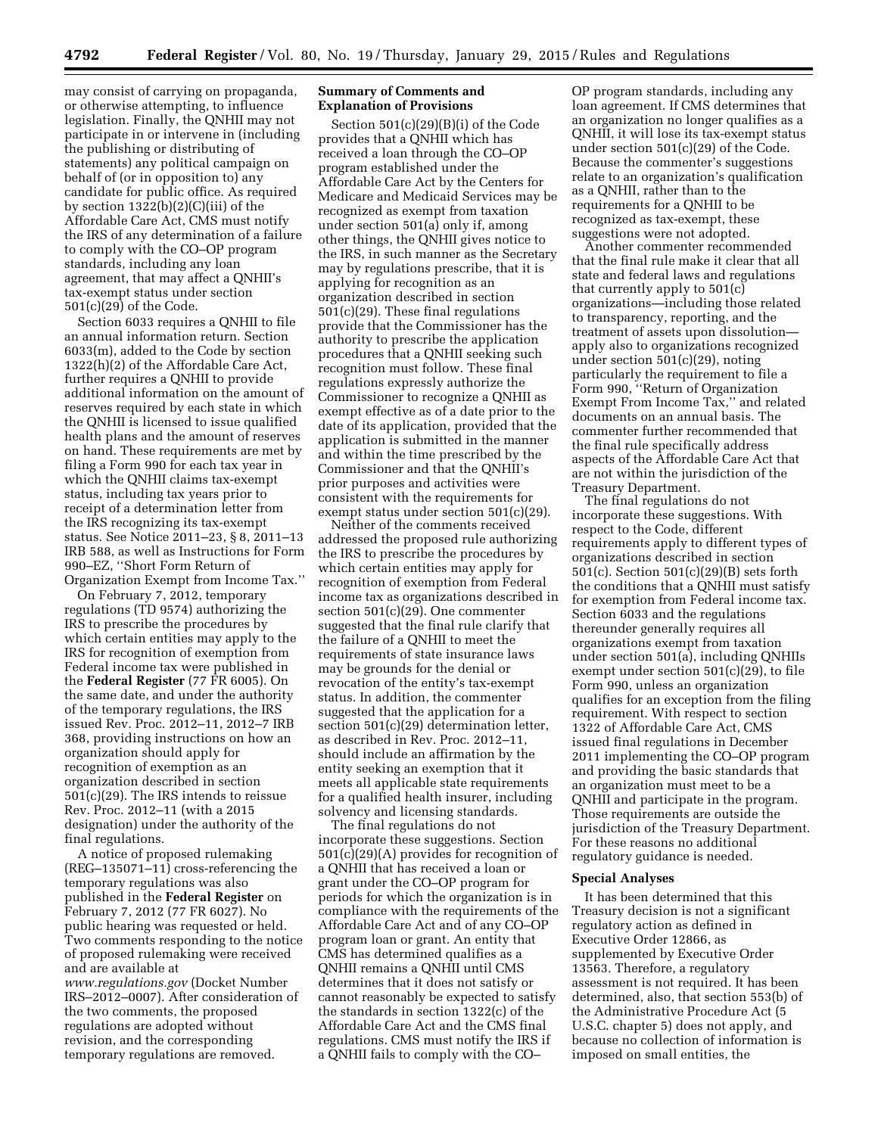may consist of carrying on propaganda, or otherwise attempting, to influence legislation. Finally, the QNHII may not participate in or intervene in (including the publishing or distributing of statements) any political campaign on behalf of (or in opposition to) any candidate for public office. As required by section 1322(b)(2)(C)(iii) of the Affordable Care Act, CMS must notify the IRS of any determination of a failure to comply with the CO–OP program standards, including any loan agreement, that may affect a QNHII's tax-exempt status under section 501(c)(29) of the Code.

Section 6033 requires a QNHII to file an annual information return. Section 6033(m), added to the Code by section 1322(h)(2) of the Affordable Care Act, further requires a QNHII to provide additional information on the amount of reserves required by each state in which the QNHII is licensed to issue qualified health plans and the amount of reserves on hand. These requirements are met by filing a Form 990 for each tax year in which the QNHII claims tax-exempt status, including tax years prior to receipt of a determination letter from the IRS recognizing its tax-exempt status. See Notice 2011–23, § 8, 2011–13 IRB 588, as well as Instructions for Form 990–EZ, ''Short Form Return of Organization Exempt from Income Tax.''

On February 7, 2012, temporary regulations (TD 9574) authorizing the IRS to prescribe the procedures by which certain entities may apply to the IRS for recognition of exemption from Federal income tax were published in the **Federal Register** (77 FR 6005). On the same date, and under the authority of the temporary regulations, the IRS issued Rev. Proc. 2012–11, 2012–7 IRB 368, providing instructions on how an organization should apply for recognition of exemption as an organization described in section 501(c)(29). The IRS intends to reissue Rev. Proc. 2012–11 (with a 2015 designation) under the authority of the final regulations.

A notice of proposed rulemaking (REG–135071–11) cross-referencing the temporary regulations was also published in the **Federal Register** on February 7, 2012 (77 FR 6027). No public hearing was requested or held. Two comments responding to the notice of proposed rulemaking were received and are available at *[www.regulations.gov](http://www.regulations.gov)* (Docket Number IRS–2012–0007). After consideration of the two comments, the proposed regulations are adopted without revision, and the corresponding temporary regulations are removed.

## **Summary of Comments and Explanation of Provisions**

Section 501(c)(29)(B)(i) of the Code provides that a QNHII which has received a loan through the CO–OP program established under the Affordable Care Act by the Centers for Medicare and Medicaid Services may be recognized as exempt from taxation under section 501(a) only if, among other things, the QNHII gives notice to the IRS, in such manner as the Secretary may by regulations prescribe, that it is applying for recognition as an organization described in section 501(c)(29). These final regulations provide that the Commissioner has the authority to prescribe the application procedures that a QNHII seeking such recognition must follow. These final regulations expressly authorize the Commissioner to recognize a QNHII as exempt effective as of a date prior to the date of its application, provided that the application is submitted in the manner and within the time prescribed by the Commissioner and that the QNHII's prior purposes and activities were consistent with the requirements for exempt status under section 501(c)(29).

Neither of the comments received addressed the proposed rule authorizing the IRS to prescribe the procedures by which certain entities may apply for recognition of exemption from Federal income tax as organizations described in section 501(c)(29). One commenter suggested that the final rule clarify that the failure of a QNHII to meet the requirements of state insurance laws may be grounds for the denial or revocation of the entity's tax-exempt status. In addition, the commenter suggested that the application for a section 501(c)(29) determination letter, as described in Rev. Proc. 2012–11, should include an affirmation by the entity seeking an exemption that it meets all applicable state requirements for a qualified health insurer, including solvency and licensing standards.

The final regulations do not incorporate these suggestions. Section 501(c)(29)(A) provides for recognition of a QNHII that has received a loan or grant under the CO–OP program for periods for which the organization is in compliance with the requirements of the Affordable Care Act and of any CO–OP program loan or grant. An entity that CMS has determined qualifies as a QNHII remains a QNHII until CMS determines that it does not satisfy or cannot reasonably be expected to satisfy the standards in section 1322(c) of the Affordable Care Act and the CMS final regulations. CMS must notify the IRS if a QNHII fails to comply with the CO–

OP program standards, including any loan agreement. If CMS determines that an organization no longer qualifies as a QNHII, it will lose its tax-exempt status under section 501(c)(29) of the Code. Because the commenter's suggestions relate to an organization's qualification as a QNHII, rather than to the requirements for a QNHII to be recognized as tax-exempt, these suggestions were not adopted.

Another commenter recommended that the final rule make it clear that all state and federal laws and regulations that currently apply to 501(c) organizations—including those related to transparency, reporting, and the treatment of assets upon dissolution apply also to organizations recognized under section 501(c)(29), noting particularly the requirement to file a Form 990, ''Return of Organization Exempt From Income Tax,'' and related documents on an annual basis. The commenter further recommended that the final rule specifically address aspects of the Affordable Care Act that are not within the jurisdiction of the Treasury Department.

The final regulations do not incorporate these suggestions. With respect to the Code, different requirements apply to different types of organizations described in section 501(c). Section 501(c)(29)(B) sets forth the conditions that a QNHII must satisfy for exemption from Federal income tax. Section 6033 and the regulations thereunder generally requires all organizations exempt from taxation under section 501(a), including QNHIIs exempt under section 501(c)(29), to file Form 990, unless an organization qualifies for an exception from the filing requirement. With respect to section 1322 of Affordable Care Act, CMS issued final regulations in December 2011 implementing the CO–OP program and providing the basic standards that an organization must meet to be a QNHII and participate in the program. Those requirements are outside the jurisdiction of the Treasury Department. For these reasons no additional regulatory guidance is needed.

### **Special Analyses**

It has been determined that this Treasury decision is not a significant regulatory action as defined in Executive Order 12866, as supplemented by Executive Order 13563. Therefore, a regulatory assessment is not required. It has been determined, also, that section 553(b) of the Administrative Procedure Act (5 U.S.C. chapter 5) does not apply, and because no collection of information is imposed on small entities, the